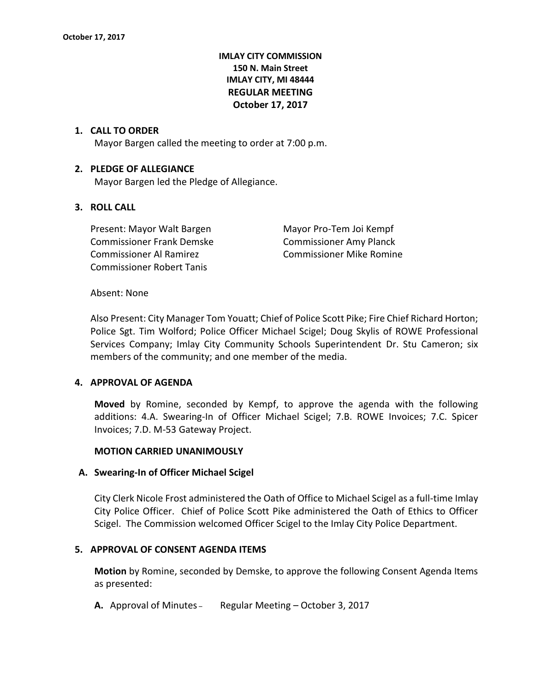# **IMLAY CITY COMMISSION 150 N. Main Street IMLAY CITY, MI 48444 REGULAR MEETING October 17, 2017**

### **1. CALL TO ORDER**

Mayor Bargen called the meeting to order at 7:00 p.m.

### **2. PLEDGE OF ALLEGIANCE**

Mayor Bargen led the Pledge of Allegiance.

## **3. ROLL CALL**

Present: Mayor Walt Bargen Mayor Pro-Tem Joi Kempf Commissioner Frank Demske Commissioner Amy Planck Commissioner Al Ramirez Commissioner Mike Romine Commissioner Robert Tanis

#### Absent: None

Also Present: City Manager Tom Youatt; Chief of Police Scott Pike; Fire Chief Richard Horton; Police Sgt. Tim Wolford; Police Officer Michael Scigel; Doug Skylis of ROWE Professional Services Company; Imlay City Community Schools Superintendent Dr. Stu Cameron; six members of the community; and one member of the media.

#### **4. APPROVAL OF AGENDA**

**Moved** by Romine, seconded by Kempf, to approve the agenda with the following additions: 4.A. Swearing-In of Officer Michael Scigel; 7.B. ROWE Invoices; 7.C. Spicer Invoices; 7.D. M-53 Gateway Project.

#### **MOTION CARRIED UNANIMOUSLY**

#### **A. Swearing-In of Officer Michael Scigel**

City Clerk Nicole Frost administered the Oath of Office to Michael Scigel as a full-time Imlay City Police Officer. Chief of Police Scott Pike administered the Oath of Ethics to Officer Scigel. The Commission welcomed Officer Scigel to the Imlay City Police Department.

### **5. APPROVAL OF CONSENT AGENDA ITEMS**

**Motion** by Romine, seconded by Demske, to approve the following Consent Agenda Items as presented:

**A.** Approval of Minutes – Regular Meeting – October 3, 2017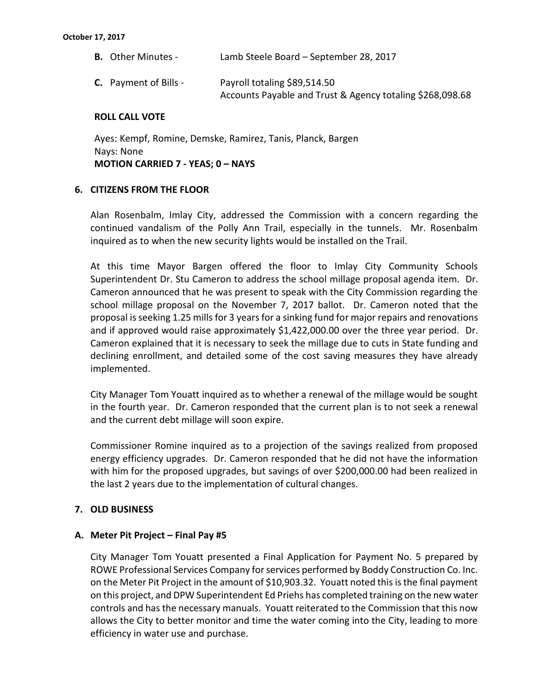| <b>B.</b> Other Minutes -    | Lamb Steele Board - September 28, 2017                                                    |
|------------------------------|-------------------------------------------------------------------------------------------|
| <b>C.</b> Payment of Bills - | Payroll totaling \$89,514.50<br>Accounts Payable and Trust & Agency totaling \$268,098.68 |

## **ROLL CALL VOTE**

Ayes: Kempf, Romine, Demske, Ramirez, Tanis, Planck, Bargen Nays: None **MOTION CARRIED 7 - YEAS; 0 – NAYS**

## **6. CITIZENS FROM THE FLOOR**

Alan Rosenbalm, Imlay City, addressed the Commission with a concern regarding the continued vandalism of the Polly Ann Trail, especially in the tunnels. Mr. Rosenbalm inquired as to when the new security lights would be installed on the Trail.

At this time Mayor Bargen offered the floor to Imlay City Community Schools Superintendent Dr. Stu Cameron to address the school millage proposal agenda item. Dr. Cameron announced that he was present to speak with the City Commission regarding the school millage proposal on the November 7, 2017 ballot. Dr. Cameron noted that the proposal is seeking 1.25 mills for 3 years for a sinking fund for major repairs and renovations and if approved would raise approximately \$1,422,000.00 over the three year period. Dr. Cameron explained that it is necessary to seek the millage due to cuts in State funding and declining enrollment, and detailed some of the cost saving measures they have already implemented.

City Manager Tom Youatt inquired as to whether a renewal of the millage would be sought in the fourth year. Dr. Cameron responded that the current plan is to not seek a renewal and the current debt millage will soon expire.

Commissioner Romine inquired as to a projection of the savings realized from proposed energy efficiency upgrades. Dr. Cameron responded that he did not have the information with him for the proposed upgrades, but savings of over \$200,000.00 had been realized in the last 2 years due to the implementation of cultural changes.

# **7. OLD BUSINESS**

#### **A. Meter Pit Project – Final Pay #5**

City Manager Tom Youatt presented a Final Application for Payment No. 5 prepared by ROWE Professional Services Company for services performed by Boddy Construction Co. Inc. on the Meter Pit Project in the amount of \$10,903.32. Youatt noted this is the final payment on this project, and DPW Superintendent Ed Priehs has completed training on the new water controls and has the necessary manuals. Youatt reiterated to the Commission that this now allows the City to better monitor and time the water coming into the City, leading to more efficiency in water use and purchase.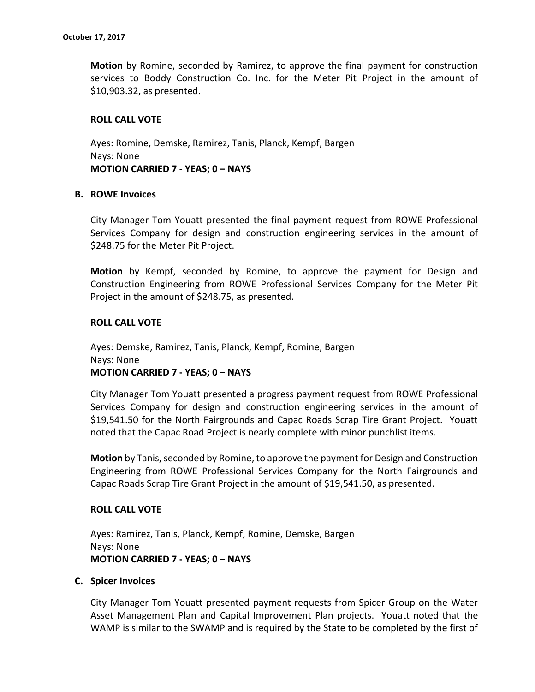**Motion** by Romine, seconded by Ramirez, to approve the final payment for construction services to Boddy Construction Co. Inc. for the Meter Pit Project in the amount of \$10,903.32, as presented.

## **ROLL CALL VOTE**

Ayes: Romine, Demske, Ramirez, Tanis, Planck, Kempf, Bargen Nays: None **MOTION CARRIED 7 - YEAS; 0 – NAYS**

#### **B. ROWE Invoices**

City Manager Tom Youatt presented the final payment request from ROWE Professional Services Company for design and construction engineering services in the amount of \$248.75 for the Meter Pit Project.

**Motion** by Kempf, seconded by Romine, to approve the payment for Design and Construction Engineering from ROWE Professional Services Company for the Meter Pit Project in the amount of \$248.75, as presented.

## **ROLL CALL VOTE**

Ayes: Demske, Ramirez, Tanis, Planck, Kempf, Romine, Bargen Nays: None **MOTION CARRIED 7 - YEAS; 0 – NAYS**

City Manager Tom Youatt presented a progress payment request from ROWE Professional Services Company for design and construction engineering services in the amount of \$19,541.50 for the North Fairgrounds and Capac Roads Scrap Tire Grant Project. Youatt noted that the Capac Road Project is nearly complete with minor punchlist items.

**Motion** by Tanis, seconded by Romine, to approve the payment for Design and Construction Engineering from ROWE Professional Services Company for the North Fairgrounds and Capac Roads Scrap Tire Grant Project in the amount of \$19,541.50, as presented.

#### **ROLL CALL VOTE**

Ayes: Ramirez, Tanis, Planck, Kempf, Romine, Demske, Bargen Nays: None **MOTION CARRIED 7 - YEAS; 0 – NAYS**

#### **C. Spicer Invoices**

City Manager Tom Youatt presented payment requests from Spicer Group on the Water Asset Management Plan and Capital Improvement Plan projects. Youatt noted that the WAMP is similar to the SWAMP and is required by the State to be completed by the first of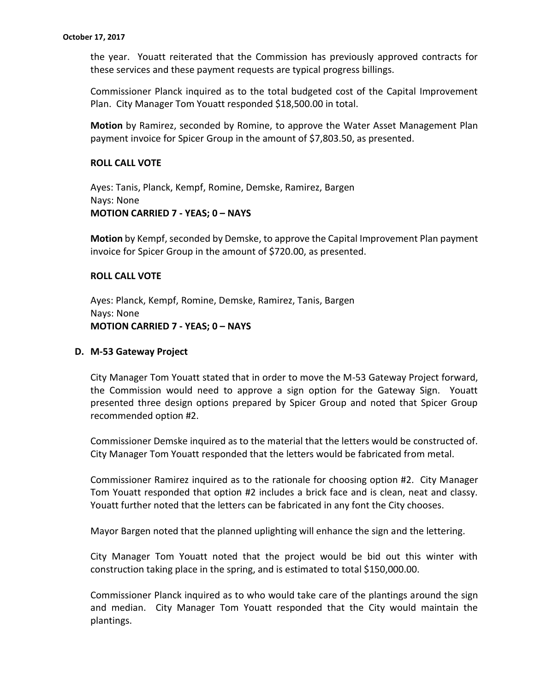the year. Youatt reiterated that the Commission has previously approved contracts for these services and these payment requests are typical progress billings.

Commissioner Planck inquired as to the total budgeted cost of the Capital Improvement Plan. City Manager Tom Youatt responded \$18,500.00 in total.

**Motion** by Ramirez, seconded by Romine, to approve the Water Asset Management Plan payment invoice for Spicer Group in the amount of \$7,803.50, as presented.

## **ROLL CALL VOTE**

Ayes: Tanis, Planck, Kempf, Romine, Demske, Ramirez, Bargen Nays: None **MOTION CARRIED 7 - YEAS; 0 – NAYS**

**Motion** by Kempf, seconded by Demske, to approve the Capital Improvement Plan payment invoice for Spicer Group in the amount of \$720.00, as presented.

## **ROLL CALL VOTE**

Ayes: Planck, Kempf, Romine, Demske, Ramirez, Tanis, Bargen Nays: None **MOTION CARRIED 7 - YEAS; 0 – NAYS**

#### **D. M-53 Gateway Project**

City Manager Tom Youatt stated that in order to move the M-53 Gateway Project forward, the Commission would need to approve a sign option for the Gateway Sign. Youatt presented three design options prepared by Spicer Group and noted that Spicer Group recommended option #2.

Commissioner Demske inquired as to the material that the letters would be constructed of. City Manager Tom Youatt responded that the letters would be fabricated from metal.

Commissioner Ramirez inquired as to the rationale for choosing option #2. City Manager Tom Youatt responded that option #2 includes a brick face and is clean, neat and classy. Youatt further noted that the letters can be fabricated in any font the City chooses.

Mayor Bargen noted that the planned uplighting will enhance the sign and the lettering.

City Manager Tom Youatt noted that the project would be bid out this winter with construction taking place in the spring, and is estimated to total \$150,000.00.

Commissioner Planck inquired as to who would take care of the plantings around the sign and median. City Manager Tom Youatt responded that the City would maintain the plantings.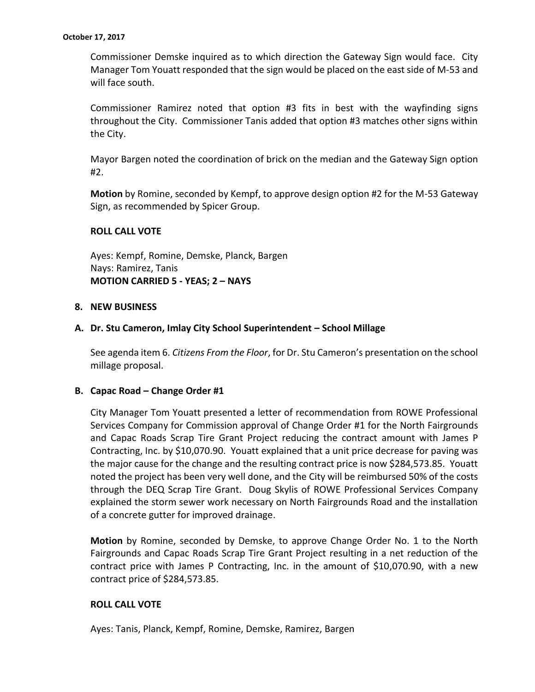Commissioner Demske inquired as to which direction the Gateway Sign would face. City Manager Tom Youatt responded that the sign would be placed on the east side of M-53 and will face south.

Commissioner Ramirez noted that option #3 fits in best with the wayfinding signs throughout the City. Commissioner Tanis added that option #3 matches other signs within the City.

Mayor Bargen noted the coordination of brick on the median and the Gateway Sign option #2.

**Motion** by Romine, seconded by Kempf, to approve design option #2 for the M-53 Gateway Sign, as recommended by Spicer Group.

## **ROLL CALL VOTE**

Ayes: Kempf, Romine, Demske, Planck, Bargen Nays: Ramirez, Tanis **MOTION CARRIED 5 - YEAS; 2 – NAYS**

#### **8. NEW BUSINESS**

## **A. Dr. Stu Cameron, Imlay City School Superintendent – School Millage**

See agenda item 6. *Citizens From the Floor*, for Dr. Stu Cameron's presentation on the school millage proposal.

#### **B. Capac Road – Change Order #1**

City Manager Tom Youatt presented a letter of recommendation from ROWE Professional Services Company for Commission approval of Change Order #1 for the North Fairgrounds and Capac Roads Scrap Tire Grant Project reducing the contract amount with James P Contracting, Inc. by \$10,070.90. Youatt explained that a unit price decrease for paving was the major cause for the change and the resulting contract price is now \$284,573.85. Youatt noted the project has been very well done, and the City will be reimbursed 50% of the costs through the DEQ Scrap Tire Grant. Doug Skylis of ROWE Professional Services Company explained the storm sewer work necessary on North Fairgrounds Road and the installation of a concrete gutter for improved drainage.

**Motion** by Romine, seconded by Demske, to approve Change Order No. 1 to the North Fairgrounds and Capac Roads Scrap Tire Grant Project resulting in a net reduction of the contract price with James P Contracting, Inc. in the amount of \$10,070.90, with a new contract price of \$284,573.85.

### **ROLL CALL VOTE**

Ayes: Tanis, Planck, Kempf, Romine, Demske, Ramirez, Bargen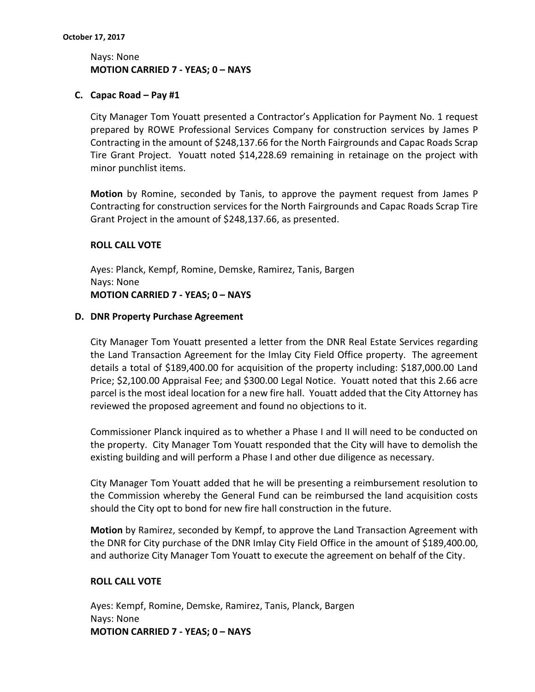# Nays: None **MOTION CARRIED 7 - YEAS; 0 – NAYS**

# **C. Capac Road – Pay #1**

City Manager Tom Youatt presented a Contractor's Application for Payment No. 1 request prepared by ROWE Professional Services Company for construction services by James P Contracting in the amount of \$248,137.66 for the North Fairgrounds and Capac Roads Scrap Tire Grant Project. Youatt noted \$14,228.69 remaining in retainage on the project with minor punchlist items.

**Motion** by Romine, seconded by Tanis, to approve the payment request from James P Contracting for construction services for the North Fairgrounds and Capac Roads Scrap Tire Grant Project in the amount of \$248,137.66, as presented.

## **ROLL CALL VOTE**

Ayes: Planck, Kempf, Romine, Demske, Ramirez, Tanis, Bargen Nays: None **MOTION CARRIED 7 - YEAS; 0 – NAYS**

## **D. DNR Property Purchase Agreement**

City Manager Tom Youatt presented a letter from the DNR Real Estate Services regarding the Land Transaction Agreement for the Imlay City Field Office property. The agreement details a total of \$189,400.00 for acquisition of the property including: \$187,000.00 Land Price; \$2,100.00 Appraisal Fee; and \$300.00 Legal Notice. Youatt noted that this 2.66 acre parcel is the most ideal location for a new fire hall. Youatt added that the City Attorney has reviewed the proposed agreement and found no objections to it.

Commissioner Planck inquired as to whether a Phase I and II will need to be conducted on the property. City Manager Tom Youatt responded that the City will have to demolish the existing building and will perform a Phase I and other due diligence as necessary.

City Manager Tom Youatt added that he will be presenting a reimbursement resolution to the Commission whereby the General Fund can be reimbursed the land acquisition costs should the City opt to bond for new fire hall construction in the future.

**Motion** by Ramirez, seconded by Kempf, to approve the Land Transaction Agreement with the DNR for City purchase of the DNR Imlay City Field Office in the amount of \$189,400.00, and authorize City Manager Tom Youatt to execute the agreement on behalf of the City.

# **ROLL CALL VOTE**

Ayes: Kempf, Romine, Demske, Ramirez, Tanis, Planck, Bargen Nays: None **MOTION CARRIED 7 - YEAS; 0 – NAYS**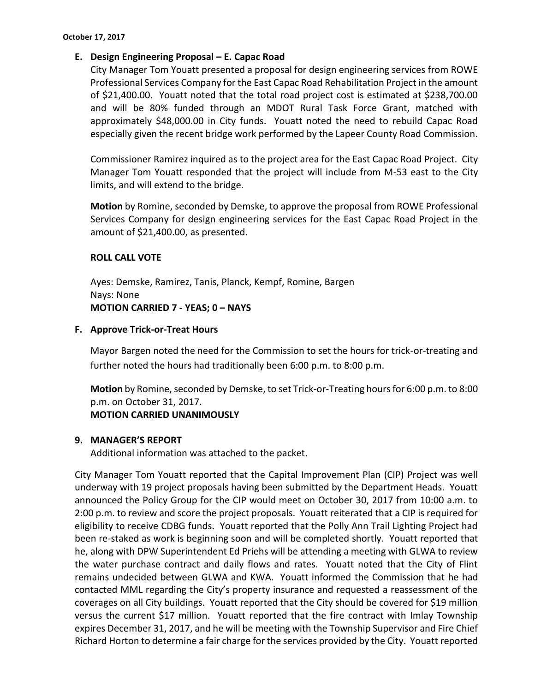# **E. Design Engineering Proposal – E. Capac Road**

City Manager Tom Youatt presented a proposal for design engineering services from ROWE Professional Services Company for the East Capac Road Rehabilitation Project in the amount of \$21,400.00. Youatt noted that the total road project cost is estimated at \$238,700.00 and will be 80% funded through an MDOT Rural Task Force Grant, matched with approximately \$48,000.00 in City funds. Youatt noted the need to rebuild Capac Road especially given the recent bridge work performed by the Lapeer County Road Commission.

Commissioner Ramirez inquired as to the project area for the East Capac Road Project. City Manager Tom Youatt responded that the project will include from M-53 east to the City limits, and will extend to the bridge.

**Motion** by Romine, seconded by Demske, to approve the proposal from ROWE Professional Services Company for design engineering services for the East Capac Road Project in the amount of \$21,400.00, as presented.

# **ROLL CALL VOTE**

Ayes: Demske, Ramirez, Tanis, Planck, Kempf, Romine, Bargen Nays: None **MOTION CARRIED 7 - YEAS; 0 – NAYS**

# **F. Approve Trick-or-Treat Hours**

Mayor Bargen noted the need for the Commission to set the hours for trick-or-treating and further noted the hours had traditionally been 6:00 p.m. to 8:00 p.m.

**Motion** by Romine, seconded by Demske, to set Trick-or-Treating hours for 6:00 p.m. to 8:00 p.m. on October 31, 2017.

# **MOTION CARRIED UNANIMOUSLY**

# **9. MANAGER'S REPORT**

Additional information was attached to the packet.

City Manager Tom Youatt reported that the Capital Improvement Plan (CIP) Project was well underway with 19 project proposals having been submitted by the Department Heads. Youatt announced the Policy Group for the CIP would meet on October 30, 2017 from 10:00 a.m. to 2:00 p.m. to review and score the project proposals. Youatt reiterated that a CIP is required for eligibility to receive CDBG funds. Youatt reported that the Polly Ann Trail Lighting Project had been re-staked as work is beginning soon and will be completed shortly. Youatt reported that he, along with DPW Superintendent Ed Priehs will be attending a meeting with GLWA to review the water purchase contract and daily flows and rates. Youatt noted that the City of Flint remains undecided between GLWA and KWA. Youatt informed the Commission that he had contacted MML regarding the City's property insurance and requested a reassessment of the coverages on all City buildings. Youatt reported that the City should be covered for \$19 million versus the current \$17 million. Youatt reported that the fire contract with Imlay Township expires December 31, 2017, and he will be meeting with the Township Supervisor and Fire Chief Richard Horton to determine a fair charge for the services provided by the City. Youatt reported